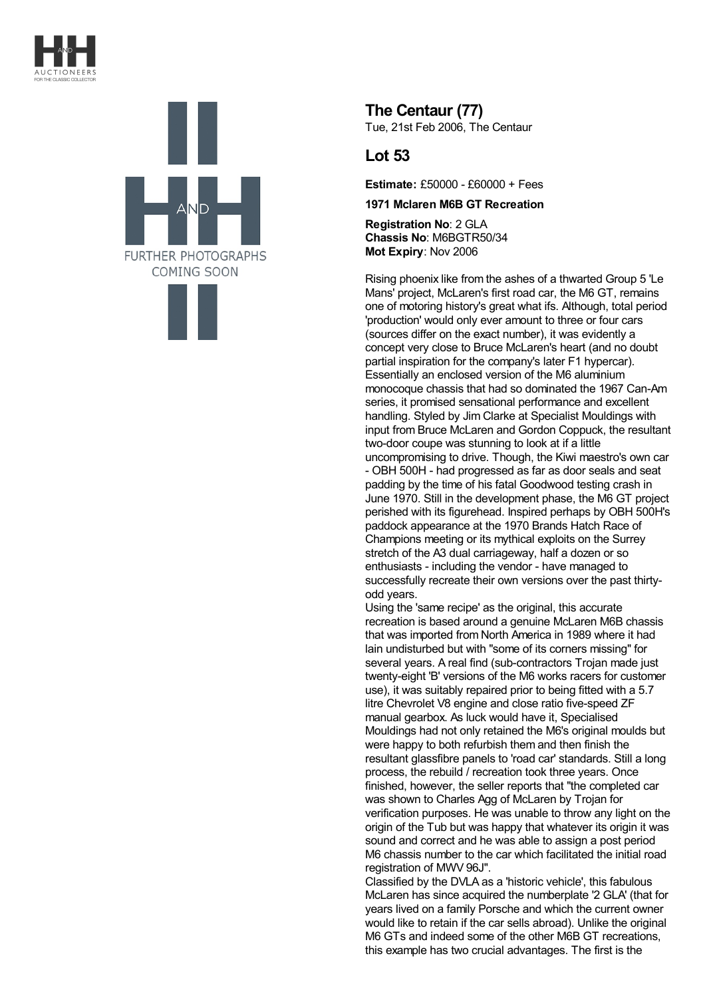



**The Centaur (77)** Tue, 21st Feb 2006, The Centaur

## **Lot 53**

**Estimate:** £50000 - £60000 + Fees

**1971 Mclaren M6B GT Recreation**

**Registration No**: 2 GLA **Chassis No**: M6BGTR50/34 **Mot Expiry**: Nov 2006

Rising phoenix like from the ashes of a thwarted Group 5 'Le Mans' project, McLaren's first road car, the M6 GT, remains one of motoring history's great what ifs. Although, total period 'production' would only ever amount to three or four cars (sources differ on the exact number), it was evidently a concept very close to Bruce McLaren's heart (and no doubt partial inspiration for the company's later F1 hypercar). Essentially an enclosed version of the M6 aluminium monocoque chassis that had so dominated the 1967 Can-Am series, it promised sensational performance and excellent handling. Styled by Jim Clarke at Specialist Mouldings with input from Bruce McLaren and Gordon Coppuck, the resultant two-door coupe was stunning to look at if a little uncompromising to drive. Though, the Kiwi maestro's own car - OBH 500H - had progressed as far as door seals and seat padding by the time of his fatal Goodwood testing crash in June 1970. Still in the development phase, the M6 GT project perished with its figurehead. Inspired perhaps by OBH 500H's paddock appearance at the 1970 Brands Hatch Race of Champions meeting or its mythical exploits on the Surrey stretch of the A3 dual carriageway, half a dozen or so enthusiasts - including the vendor - have managed to successfully recreate their own versions over the past thirtyodd years.

Using the 'same recipe' as the original, this accurate recreation is based around a genuine McLaren M6B chassis that was imported from North America in 1989 where it had lain undisturbed but with "some of its corners missing" for several years. A real find (sub-contractors Trojan made just twenty-eight 'B' versions of the M6 works racers for customer use), it was suitably repaired prior to being fitted with a 5.7 litre Chevrolet V8 engine and close ratio five-speed ZF manual gearbox. As luck would have it, Specialised Mouldings had not only retained the M6's original moulds but were happy to both refurbish them and then finish the resultant glassfibre panels to 'road car' standards. Still a long process, the rebuild / recreation took three years. Once finished, however, the seller reports that "the completed car was shown to Charles Agg of McLaren by Trojan for verification purposes. He was unable to throw any light on the origin of the Tub but was happy that whatever its origin it was sound and correct and he was able to assign a post period M6 chassis number to the car which facilitated the initial road registration of MWV 96J".

Classified by the DVLA as a 'historic vehicle', this fabulous McLaren has since acquired the numberplate '2 GLA' (that for years lived on a family Porsche and which the current owner would like to retain if the car sells abroad). Unlike the original M6 GTs and indeed some of the other M6B GT recreations, this example has two crucial advantages. The first is the